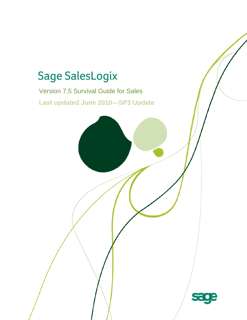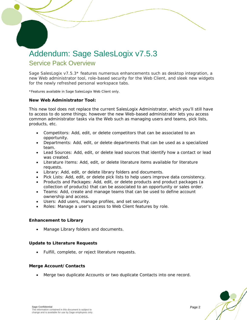# Addendum: Sage SalesLogix v7.5.3 Service Pack Overview

Sage SalesLogix v7.5.3\* features numerous enhancements such as desktop integration, a new Web administrator tool, role-based security for the Web Client, and sleek new widgets for the newly refreshed personal workspace tabs.

\*Features available in Sage SalesLogix Web Client only.

### **New Web Administrator Tool:**

 $\overline{a}$ 

This new tool does not replace the current SalesLogix Administrator, which you'll still have to access to do some things; however the new Web-based administrator lets you access common administrator tasks via the Web such as managing users and teams, pick lists, products, etc.

- Competitors: Add, edit, or delete competitors that can be associated to an opportunity.
- Departments: Add, edit, or delete departments that can be used as a specialized team.
- Lead Sources: Add, edit, or delete lead sources that identify how a contact or lead was created.
- Literature Items: Add, edit, or delete literature items available for literature requests.
- Library: Add, edit, or delete library folders and documents.
- Pick Lists: Add, edit, or delete pick lists to help users improve data consistency.
- Products and Packages: Add, edit, or delete products and product packages (a collection of products) that can be associated to an opportunity or sales order.
- Teams: Add, create and manage teams that can be used to define account ownership and access.
- Users: Add users, manage profiles, and set security.
- Roles: Manage a user's access to Web Client features by role.

### **Enhancement to Library**

Manage Library folders and documents.

### **Update to Literature Requests**

• Fulfill, complete, or reject literature requests.

### **Merge Account/Contacts**

• Merge two duplicate Accounts or two duplicate Contacts into one record.

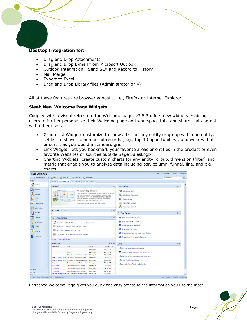### **Desktop Integration for:**

- Drag and Drop Attachments
- Drag and Drop E-mail from Microsoft Outlook
- Outlook Integration: Send SLX and Record to History
- Mail Merge

 $\overline{a}$ 

- Export to Excel
- Drag and Drop Library files (Administrator only)

All of these features are browser agnostic, i.e., Firefox or Internet Explorer.

### **Sleek New Welcome Page Widgets**

Coupled with a visual refresh to the Welcome page, v7.5.3 offers new widgets enabling users to further personalize their Welcome page and workspace tabs and share that content with other users.

- Group List Widget: customize to show a list for any entity or group within an entity, set list to show top number of records (e.g., top 10 opportunities), and work with it or sort it as you would a standard grid
- Link Widget: lets you bookmark your favorite areas or entities in the product or even favorite Websites or sources outside Sage SalesLogix
- Charting Widgets: create custom charts for any entity, group, dimension (filter) and metric that enable you to analyze data including bar, column, funnel, line, and pie charts



*Refreshed Welcome Page gives you quick and easy access to the information you use the most.*

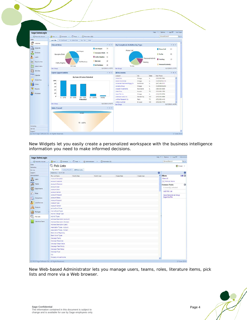

*New Widgets let you easily create a personalized workspace with the business intelligence information you need to make informed decisions.* 

|                         | C Recently Viewed . 2 New . C Schedule . Tools . (@ Administration . C Reminders (S) |             |             |             |         | SpeedSearch           | 大王                    |
|-------------------------|--------------------------------------------------------------------------------------|-------------|-------------|-------------|---------|-----------------------|-----------------------|
| Sales                   | <b>Pick Lists</b>                                                                    |             |             |             |         |                       | <b>AC</b> Groups -    |
| Marketing               |                                                                                      |             |             |             |         |                       |                       |
| Service                 | Q, Look.p   Look.p Rendts   All Pick Lists                                           |             |             |             |         |                       |                       |
| Support                 | Displaying 1 - 30 of 166                                                             |             |             |             | $\odot$ |                       | $\boldsymbol{\omega}$ |
| Administration          | <b>Pick List Name</b><br><b>Modify Date</b>                                          | Modify User | Create Date | Create User | ×       | <b>Filters</b>        | $E$ dit $@$           |
| 8<br><b>Users</b>       | Account Competitor                                                                   |             |             |             |         | Clear All             |                       |
|                         | <b>Account Customer</b>                                                              |             |             |             |         | [+] Pick List Name    |                       |
| <b>AR</b> Teams         | Account Influencer                                                                   |             |             |             |         | <b>Common Tasks</b>   | $^{\circ}$            |
| Departments             | <b>Account Lead</b>                                                                  |             |             |             |         | 0 record(s) selected  |                       |
| 電                       | <b>Account Diner</b>                                                                 |             |             |             |         | Add Pick List         |                       |
| <b>A</b> Roles          | <b>Account Partner</b>                                                               |             |             |             |         |                       |                       |
|                         | <b>Account Prospect</b>                                                              |             |             |             |         | Save Records as Group |                       |
| 患<br>Competitors        | <b>Annount Status</b>                                                                |             |             |             |         | Export to File        |                       |
|                         | <b>Account Suspect</b>                                                               |             |             |             |         |                       |                       |
| Lead Sources            | Account Type                                                                         |             |             |             |         |                       |                       |
| Products                | Account Vender                                                                       |             |             |             |         |                       |                       |
|                         | Active Form Types                                                                    |             |             |             |         |                       |                       |
| Packages                | Active Script Types                                                                  |             |             |             |         |                       |                       |
|                         | Activity Charge Type                                                                 |             |             |             |         |                       |                       |
| <b>10</b><br>Pick Lists | Activity Types                                                                       |             |             |             |         |                       |                       |
| Literature Items        | Address Description (Account)<br>Address Description (Contact)                       |             |             |             |         |                       |                       |
|                         | Address Description (Lead)                                                           |             |             |             |         |                       |                       |
|                         | Association Types - Account                                                          |             |             |             |         |                       |                       |
|                         | Association Types - Contact                                                          |             |             |             |         |                       |                       |
|                         | <b>Basic Script Regarding</b>                                                        |             |             |             |         |                       |                       |
|                         | Basic Script Types                                                                   |             |             |             |         |                       |                       |
|                         | Campaign Family                                                                      |             |             |             |         |                       |                       |
|                         | Campaign Response                                                                    |             |             |             |         |                       |                       |
|                         | Campaign Stage Status                                                                |             |             |             |         |                       |                       |
|                         | Campaign Task Priorty                                                                |             |             |             |         |                       |                       |
|                         | Carrosign Task Status                                                                |             |             |             |         |                       |                       |
|                         | Campaign Type                                                                        |             |             |             |         |                       |                       |
|                         | Cty                                                                                  |             |             |             |         |                       |                       |
|                         | Company Annual Income                                                                |             |             |             |         |                       |                       |

*New Web-based Administrator lets you manage users, teams, roles, literature items, pick lists and more via a Web browser.*

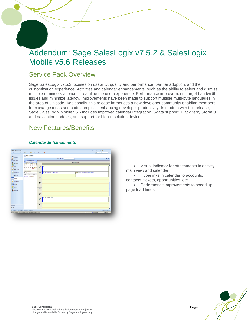# Addendum: Sage SalesLogix v7.5.2 & SalesLogix Mobile v5.6 Releases

### Service Pack Overview

 $\overline{a}$ 

Sage SalesLogix v7.5.2 focuses on usability, quality and performance, partner adoption, and the customization experience. Activities and calendar enhancements, such as the ability to select and dismiss multiple reminders at once, streamline the user experience. Performance improvements target bandwidth issues and minimize latency. Improvements have been made to support multiple multi-byte languages in the area of Unicode. Additionally, this release introduces a new developer community enabling members to exchange ideas and code samples—enhancing developer productivity. In tandem with this release, Sage SalesLogix Mobile v5.6 includes improved calendar integration, Sdata support, BlackBerry Storm UI and navigation updates, and support for high-resolution devices.

### New Features/Benefits

### *Calendar Enhancements*



• Visual indicator for attachments in activity main view and calendar

• Hyperlinks in calendar to accounts, contacts, tickets, opportunities, etc.

• Performance improvements to speed up page load times

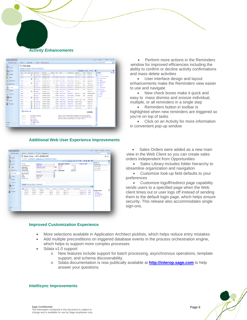### *Activity Enhancements*

 $\overline{a}$ 

| SAGE SALESLOGIX         |                                                                      |            |                                                                               |                       |              |           |                                                                                                                                                                                                         |                                              |                                  |               |                                    |                       | Heiz *   Options   Los OT - Lee Hoows    |              |
|-------------------------|----------------------------------------------------------------------|------------|-------------------------------------------------------------------------------|-----------------------|--------------|-----------|---------------------------------------------------------------------------------------------------------------------------------------------------------------------------------------------------------|----------------------------------------------|----------------------------------|---------------|------------------------------------|-----------------------|------------------------------------------|--------------|
| Gil Reportly Viewed     | - 20 km - Editectic - Citato - Citaminato                            |            |                                                                               |                       |              |           |                                                                                                                                                                                                         |                                              |                                  |               |                                    |                       | sevedsamdt                               | $\mathbf{R}$ |
| sales<br>AH.<br>Website | <b>El Activities</b><br>All Open   Heralton   Parelly   Carlinuitary |            |                                                                               |                       |              |           |                                                                                                                                                                                                         |                                              |                                  |               |                                    |                       |                                          |              |
| Accounts<br>Ц'n,        | Displaying L.L.M.of 186                                              |            |                                                                               |                       |              |           |                                                                                                                                                                                                         |                                              |                                  |               | Hospetel Lutt Sunnary              | $\boldsymbol{\Theta}$ |                                          | $\circ$      |
| Contacto                | Const., Jilla., Roqui Alane, Adivity Type                            |            |                                                                               | <b>Catarine</b>       | Duraten Tues |           | <b>Name</b>                                                                                                                                                                                             | AssountComp Fleasning                        |                                  | Narty         | <b>Exhad</b> Far                   | $\overline{a}$        | <b>Filters</b>                           | a die Oh     |
|                         | Compl.                                                               |            | 95 Personal Ap., 9090892 (6 R)                                                |                       | $+00$        |           |                                                                                                                                                                                                         |                                              | Dental Assolit.                  | <b>Vedus</b>  | Hogan, Law                         |                       | Class all                                |              |
| Leads                   | Compl.                                                               |            | <b>We Place Call</b>                                                          | 02020001000           |              |           | 0:30 Contact Drs. Wyman                                                                                                                                                                                 | CTL Capital On., Fallow-up                   |                                  | None          | Hopan, Loc.                        |                       | [+] Account/Lompany<br>(+) Artistly Type |              |
|                         | <b>Const</b>                                                         | $\sigma$   | <b>FBI Heating</b>                                                            | <b>ASSISSES 10.00</b> |              |           | 1.00 Central Art Country                                                                                                                                                                                | S.C. and decode - Discuss connect            |                                  | <b>Medium</b> | <b>Hogan Lee</b>                   |                       | $+1$ Abon                                |              |
| Copertunities           | Compt.                                                               |            | <b>CA</b> imana car                                                           | 9/25/2009 9:00 AM     |              |           | 1:00 Contact Star James                                                                                                                                                                                 | Somerville Equi Follow-sp                    |                                  | <b>None</b>   | Hogan, Lee                         |                       | [+] Attachment                           |              |
| Sales Orders            | Compl.                                                               | а          | <b>ERI Heatry</b>                                                             | 9/24/2009 3:00 PM     |              | 2:00 Lead |                                                                                                                                                                                                         | Anderson, Chu., Advanced Mad., Demonstration |                                  | High          | Hogan, Lee                         |                       | (+) fanalism                             |              |
|                         | Compl                                                                |            | <b>R.</b> Todo                                                                | 0202000 (Kingle)      |              |           | Centaet J.Hout, John                                                                                                                                                                                    | Elington Teal C., Nascareh                   |                                  | <b>Name</b>   | <b><i><u>Administrator</u></i></b> |                       | [+] Name                                 |              |
| Ы<br>Activities         | Concil.                                                              |            | <b>LO PHONE CALL</b>                                                          | SO40000 (Souls)       |              |           | Cortect Anzalore Larry Olfri/Notors                                                                                                                                                                     |                                              | Discuss copper.                  | None          | Darret, Dan                        |                       | [1] opportunity                          |              |
| <b>Chiendar</b>         | Compl.                                                               |            | <b>GA</b> Phone Call                                                          | 6/25/2005 (line/a)    |              |           | Contact Schaubert Bob Salant Performs Fellowsp                                                                                                                                                          |                                              |                                  | <b>Nome</b>   | Hogan, Lee                         |                       | (+) Recoming                             |              |
|                         | CARAL                                                                | $\sigma$   | <b>Rid Heating</b>                                                            | <b>MONDAY STOCK</b>   |              |           | <b>ETA CRITATI HIS USE</b>                                                                                                                                                                              | <b>HOSTING</b>                               |                                  |               | <b>SUBMIT HE</b>                   |                       | (+) Time Frame<br>[+] notes              |              |
| What's New              | Compl.                                                               |            | <b>URL Phone Call</b>                                                         | SITTOSOG (Smale.)     |              |           | Contact Adams Juan                                                                                                                                                                                      | Summit & Co.                                 | Fellow so                        | <b>None</b>   | <b>Hutchinger, Sarty</b>           |                       | $[+]$ Type                               |              |
|                         | Compl.                                                               |            | <b>FOS Meeting</b>                                                            | 010000 (Smokes)       |              |           | Centert Drandt Joe                                                                                                                                                                                      | Colfornia Elect Presentation                 |                                  | None          | Administrator                      |                       | (+) How                                  |              |
| Library                 | Compil                                                               |            | <b>Fell Meeting</b>                                                           | ASUSSEX 4 55 PM       |              |           | 6.15 Control Absorption Pa-                                                                                                                                                                             | <b>Affirm Weller II</b>                      |                                  |               | <b>Hogaic Lee</b>                  |                       |                                          |              |
| а<br>Reports            | Compt.                                                               |            | <b>Business</b>                                                               | 66.0006 (timelegg)    |              |           | Contact Acet Janet                                                                                                                                                                                      | Sams Property                                | Follow Up - Re., None            |               | Administrator                      |                       |                                          |              |
|                         | Compt.                                                               | а          | <b>GR</b> Phone Call                                                          | <b>INTOXIC Great</b>  |              |           | Contact Vitata Ulchael                                                                                                                                                                                  |                                              | Northern Servic. Regular Contact |               | Hogan, Lee                         |                       |                                          |              |
| Processes               | Compl.                                                               | a          | <b>B</b> Phone Call                                                           | 8/3/2007 (Smeleps)    |              |           | Centaet Viale Lichael                                                                                                                                                                                   | Nertham Sanvi, Regular Centest               |                                  |               | Hagan, Loo                         |                       |                                          |              |
|                         | Concl.                                                               |            | <b>Planner Call</b>                                                           | 7/20/2007 (Kingia)    |              |           | Cortact McCelan Jenn., McCellen Adve., Regular Cortact None                                                                                                                                             |                                              |                                  |               | <b>Hogan Lee</b>                   |                       |                                          |              |
|                         | Compl                                                                |            | Phone Call                                                                    | AD5007 2.05 Bill      |              |           | 0.55 Contact: Tenanor Louise, Abbell Ltd.                                                                                                                                                               |                                              | Discussi copyri                  |               | Hogan, Lee                         |                       |                                          |              |
|                         | <b>WA Follow-up</b>                                                  |            |                                                                               |                       |              |           |                                                                                                                                                                                                         |                                              |                                  |               | compete                            |                       |                                          |              |
| <b>Harleting</b>        | Mesond:<br>Duration:<br>Colet<br>Account-                            | 30 minutes | 9/25/2009 10:00 AM<br><b>Ero, Wyman</b><br>(947) 555-7577<br>LIL Laptal Ureap |                       |              |           | Calling to pee if Cantact plans on attending the upcoming seminar.<br>Did they rectere the initiation? Do they plan to attend? Do they need<br>drections in the location? Pulcarean Serring: Installant |                                              |                                  |               |                                    |                       |                                          |              |
| Service                 | Leader:                                                              | Lee Hoopn  |                                                                               |                       |              |           |                                                                                                                                                                                                         |                                              |                                  |               |                                    |                       |                                          |              |
| Support                 | c.                                                                   |            |                                                                               |                       |              |           |                                                                                                                                                                                                         |                                              |                                  |               |                                    | ×                     |                                          |              |

### **Additional Web User Experience Improvements**

| <b>Account Henners</b><br>Opportunity:<br>USED LINGERS<br><b>KINGHACINE BUT</b><br><b>Bate Requested:</b><br><b>Data Promised:</b> | Sales Order - 001-00-001585<br>Figure Ludwitchilo All Seles Orders Mi Sales Olders Quites<br>Alsham List<br>Hospit, Loc.<br>needs use, impour<br>4/20/2007 5:00 PM<br>4/20/2007<br><b>Requier Order</b> |        | 19.<br>ia.<br><b>QX</b><br><b>BLX</b><br>÷ | Sales Order Snapshot<br>Sub Total<br><b>Directorial</b><br>Signing<br><b>DI</b><br><b>Grond Total</b> | H4 1011 PHEMIDOX 0 Q<br>464,825.00<br>86.00<br>50.00<br>464,829.00 | Copy to L mail                                              |                | <b>Group List</b><br>001-03-001585<br><b>MILANZINEIR</b><br>00120-0090 | <b>COLOR</b><br>ø<br>٠ |
|------------------------------------------------------------------------------------------------------------------------------------|---------------------------------------------------------------------------------------------------------------------------------------------------------------------------------------------------------|--------|--------------------------------------------|-------------------------------------------------------------------------------------------------------|--------------------------------------------------------------------|-------------------------------------------------------------|----------------|------------------------------------------------------------------------|------------------------|
|                                                                                                                                    |                                                                                                                                                                                                         |        |                                            |                                                                                                       |                                                                    |                                                             |                |                                                                        |                        |
|                                                                                                                                    |                                                                                                                                                                                                         |        |                                            |                                                                                                       |                                                                    |                                                             |                |                                                                        |                        |
|                                                                                                                                    |                                                                                                                                                                                                         |        |                                            |                                                                                                       |                                                                    |                                                             |                |                                                                        |                        |
|                                                                                                                                    |                                                                                                                                                                                                         |        |                                            |                                                                                                       |                                                                    |                                                             |                |                                                                        |                        |
|                                                                                                                                    |                                                                                                                                                                                                         |        |                                            |                                                                                                       |                                                                    |                                                             |                |                                                                        |                        |
|                                                                                                                                    |                                                                                                                                                                                                         |        |                                            |                                                                                                       |                                                                    |                                                             |                |                                                                        |                        |
|                                                                                                                                    |                                                                                                                                                                                                         |        |                                            |                                                                                                       |                                                                    |                                                             |                | 001-03-010217                                                          |                        |
|                                                                                                                                    |                                                                                                                                                                                                         |        |                                            |                                                                                                       | 10/253-001                                                         |                                                             |                |                                                                        |                        |
|                                                                                                                                    |                                                                                                                                                                                                         |        |                                            |                                                                                                       |                                                                    |                                                             |                |                                                                        |                        |
|                                                                                                                                    |                                                                                                                                                                                                         |        | ₽                                          |                                                                                                       |                                                                    |                                                             |                |                                                                        |                        |
|                                                                                                                                    | sales unter                                                                                                                                                                                             |        | ш                                          |                                                                                                       |                                                                    |                                                             |                |                                                                        |                        |
| <b>Customer PO:</b>                                                                                                                | <b>PAINT</b>                                                                                                                                                                                            |        |                                            |                                                                                                       |                                                                    |                                                             |                |                                                                        |                        |
| <b>Froducts</b> Bill/Ship Address Attachments                                                                                      |                                                                                                                                                                                                         |        |                                            | drag a fah here to show it in this area                                                               |                                                                    |                                                             | $+0$           |                                                                        |                        |
| <b>C</b> Podict<br><b>Dealer</b>                                                                                                   | Program                                                                                                                                                                                                 | Price: | <b>Securit</b>                             | AS. Rice                                                                                              |                                                                    |                                                             |                |                                                                        |                        |
| <b>John Trees</b><br><b><i>PACSURE</i></b>                                                                                         | <b>Virginose</b>                                                                                                                                                                                        |        |                                            |                                                                                                       |                                                                    | SISSILID FOR                                                | Driver         | <b>Common Tasks</b>                                                    | a                      |
| Docket DC<br>Hardinare                                                                                                             | <b>Viffedanake</b>                                                                                                                                                                                      |        |                                            |                                                                                                       |                                                                    | \$34,900.00 PH                                              | Celete         | Add Note                                                               |                        |
| <b>Marithmen</b><br>Mandanan                                                                                                       | <b>British</b>                                                                                                                                                                                          |        |                                            |                                                                                                       |                                                                    | <b><i>SERTER POST</i></b>                                   | <b>Details</b> | New Room Pall                                                          |                        |
|                                                                                                                                    |                                                                                                                                                                                                         |        |                                            |                                                                                                       |                                                                    |                                                             |                | New Texton                                                             |                        |
|                                                                                                                                    |                                                                                                                                                                                                         |        |                                            | \$390.00<br>\$349.00<br><b>CYRA DO</b>                                                                | 8.00%<br>0.00%<br>0.00%                                            | Questor<br>\$399,000.50<br>\$340.00 100<br><b>ENM OF 25</b> | Cutended Rrice |                                                                        | <b>There Mandings</b>  |

### **Improved Customization Experience**

• Perform more actions in the Reminders window for improved efficiencies including the ability to confirm or decline activity confirmations and mass delete activities

• User interface design and layout enhancements make the Reminders view easier to use and navigate

• New check boxes make it quick and easy to mass dismiss and snooze individual, multiple, or all reminders in a single step

• Reminders button in toolbar is highlighted when new reminders are triggered so you're on top of tasks

• Click on an Activity for more information in convenient pop-up window

Sales Orders were added as a new main view in the Web Client so you can create sales orders independent from Opportunities

• Sales Library includes folder hierarchy to streamline organization and navigation

• Customize look-up field defaults to your preferences

• Customize logoff/redirect page capability sends users to a specified page when the Web client times out or user logs off instead of sending them to the default login page, which helps ensure security. This release also accommodates single sign-ons.

- More selections available in Application Architect picklists, which helps reduce entry mistakes
- Add multiple preconditions on triggered database events in the process orchestration engine, which helps to support more complex processes
- Sdata v1.0 support
	- o New features include support for batch processing, asynchronous operations, template support, and schema discoverability.
	- o Sdata documentation is now publically available at **[http://interop.sage.com](http://interop.sage.com/)** to help answer your questions.



#### **Intellisync Improvements**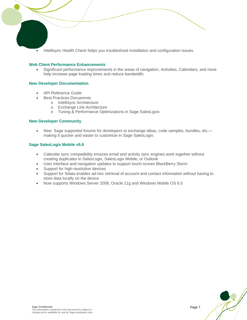• Intellisync Health Check helps you troubleshoot installation and configuration issues.

### **Web Client Performance Enhancements**

• Significant performance improvements in the areas of navigation, Activities, Calendars, and more help increase page loading times and reduce bandwidth.

### **New Developer Documentation**

 $\overline{a}$ 

- API Reference Guide
	- **Best Practices Docuemnts** 
		- o Intellisync Architecture
			- o Exchange Link Architecture
		- o Tuning & Performance Optimizations in Sage SalesLgoix

### **New Developer Community**

• New Sage supported forums for developers to exchange ideas, code samples, bundles, etc. making it quicker and easier to customize in Sage SalesLogix.

### **Sage SalesLogix Mobile v5.6**

- Calendar sync compatibility ensures email and activity sync engines work together without creating duplicates in SalesLogix, SalesLogix Mobile, or Outlook
- User interface and navigation updates to support touch-screen BlackBerry Storm
- Support for high-resolution devices
- Support for Sdata enables ad-hoc retrieval of account and contact information without having to store data locally on the device
- Now supports Windows Server 2008, Oracle 11g and Windows Mobile OS 6.5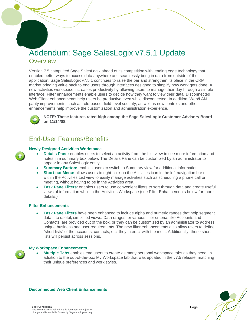# Addendum: Sage SalesLogix v7.5.1 Update **Overview**

Version 7.5 catapulted Sage SalesLogix ahead of its competition with leading edge technology that enabled better ways to access data anywhere and seamlessly bring in data from outside of the application. Sage SalesLogix v7.5.1 continues to raise the bar and strengthen its place in the CRM market bringing value back to end users through interfaces designed to simplify how work gets done. A new activities workspace increases productivity by allowing users to manage their day through a simple interface. Filter enhancements enable users to decide how they want to view their data. Disconnected Web Client enhancements help users be productive even while disconnected. In addition, Web/LAN parity improvements, such as role-based, field-level security, as well as new controls and other enhancements help improve the customization and administration experience.



 $\overline{a}$ 

**NOTE: These features rated high among the Sage SalesLogix Customer Advisory Board on 11/14/08.** 

### End-User Features/Benefits

### **Newly Designed Activities Workspace**

- **Details Pane:** enables users to select an activity from the List view to see more information and notes in a summary box below. The Details Pane can be customized by an administrator to appear in any SalesLogix entity.
- **Summary Button:** enables users to switch to Summary view for additional information.
- **Short-cut Menu:** allows users to right-click on the Activities icon in the left navigation bar or within the Activities List view to easily manage activities such as scheduling a phone call or meeting, without having to be in the Activities area.
- **Task Pane Filters**: enables users to use convenient filters to sort through data and create useful views of information while in the Activities Workspace (see Filter Enhancements below for more details.)

### **Filter Enhancements**

• **Task Pane Filters** have been enhanced to include alpha and numeric ranges that help segment data into useful, simplified views. Data ranges for various filter criteria, like Accounts and Contacts, are provided out of the box, or they can be customized by an administrator to address unique business and user requirements. The new filter enhancements also allow users to define "short lists" of the accounts, contacts, etc. they interact with the most. Additionally, these short lists will persist across sessions.

### **My Workspace Enhancements**

• **Multiple Tabs** enables end users to create as many personal workspace tabs as they need, in addition to the out-of-the-box My Workspace tab that was updated in the v7.5 release, matching their unique preferences and work styles.



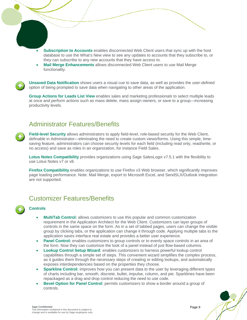- **Subscription to Accounts** enables disconnected Web Client users that sync up with the host database to use the What's New view to see any updates to accounts that they subscribe to, or they can subscribe to any new accounts that they have access to.
- **Mail Merge Enhancements** allows disconnected Web Client users to use Mail Merge functionality.

**Unsaved Data Notification** shows users a visual cue to save data, as well as provides the user-defined option of being prompted to save data when navigating to other areas of the application.

**Group Actions for Leads List View** enables sales and marketing professionals to select multiple leads at once and perform actions such as mass delete, mass assign owners, or save to a group—increasing productivity levels.

### Administrator Features/Benefits

**Field-level Security** allows administrators to apply field-level, role-based security for the Web Client, definable in Administrator—eliminating the need to create custom views/forms. Using this simple, timesaving feature, administrators can choose security levels for each field (including read only, read/write, or no access) and save as roles in an organization, for instance Field Sales.

**Lotus Notes Compatibility** provides organizations using Sage SalesLogix v7.5.1 with the flexibility to use Lotus Notes v7 or v8.

**Firefox Compatibility** enables organizations to use Firefox v3 Web browser, which significantly improves page loading performance. Note: Mail Merge, export to Microsoft Excel, and SendSLX/Outlook integration are not supported.

### Customizer Features/Benefits

**Controls** 

 $\overline{a}$ 

- **MultiTab Control:** allows customizers to use this popular and common customization requirement in the Application Architect for the Web Client. Customizers can layer groups of controls in the same space on the form. As in a set of tabbed pages, users can change the visible group by clicking tabs, or the application can change it through code. Applying multiple tabs to the application saves interface real estate and provides a better user experience.
- **Panel Control:** enables customizers to group controls or to evenly space controls in an area of the form. Now they can customize the look of a panel instead of just flow-based columns.
- **Lookup Control Setup Wizard**: enables customizers to harness powerful lookup control capabilities through a simple set of steps. This convenient wizard simplifies the complex process, as it guides them through the necessary steps of creating or editing lookups, and automatically exposes interdependencies based on the properties they choose.
- **Sparkline Control:** improves how you can present data to the user by leveraging different types of charts including bar, smooth, discrete, bullet, impulse, column, and pie. Sparklines have been repackaged as a drag and drop control reducing the need to use code.
- **Bevel Option for Panel Control**: permits customizers to show a border around a group of controls.

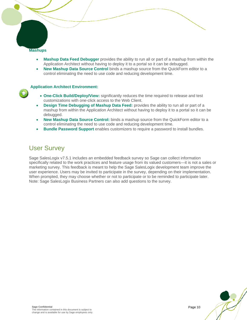**Mashups** 

 $\overline{a}$ 

- **Mashup Data Feed Debugger** provides the ability to run all or part of a mashup from within the Application Architect without having to deploy it to a portal so it can be debugged.
- **New Mashup Data Source Control** binds a mashup source from the QuickForm editor to a control eliminating the need to use code and reducing development time.

### **Application Architect Environment:**

- **One-Click Build/Deploy/View:** significantly reduces the time required to release and test customizations with one-click access to the Web Client.
- **Design Time Debugging of Mashup Data Feed:** provides the ability to run all or part of a mashup from within the Application Architect without having to deploy it to a portal so it can be debugged.
- **New Mashup Data Source Control:** binds a mashup source from the QuickForm editor to a control eliminating the need to use code and reducing development time.
- **Bundle Password Support** enables customizers to require a password to install bundles.

### User Survey

Sage SalesLogix v7.5.1 includes an embedded feedback survey so Sage can collect information specifically related to the work practices and feature usage from its valued customers—it is not a sales or marketing survey. This feedback is meant to help the Sage SalesLogix development team improve the user experience. Users may be invited to participate in the survey, depending on their implementation. When prompted, they may choose whether or not to participate or to be reminded to participate later. Note: Sage SalesLogix Business Partners can also add questions to the survey.

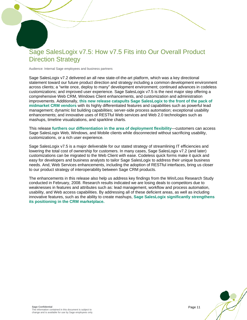### Sage SalesLogix v7.5: How v7.5 Fits into Our Overall Product Direction Strategy

Audience: Internal Sage employees and business partners

 $\overline{a}$ 

Sage SalesLogix v7.2 delivered an all new state-of-the-art platform, which was a key directional statement toward our future product direction and strategy including a common development environment across clients; a "write once, deploy to many" development environment; continued advances in codeless customizations; and improved user experience. Sage SalesLogix v7.5 is the next major step offering a comprehensive Web CRM, Windows Client enhancements, and customization and administration improvements. Additionally, **this new release catapults Sage SalesLogix to the front of the pack of midmarket CRM vendors** with its highly differentiated features and capabilities such as powerful lead management; dynamic list building capabilities; server-side process automation; exceptional usability enhancements; and innovative uses of RESTful Web services and Web 2.0 technologies such as mashups, timeline visualizations, and sparkline charts.

This release **furthers our differentiation in the area of deployment flexibility**—customers can access Sage SalesLogix Web, Windows, and Mobile clients while disconnected without sacrificing usability, customizations, or a rich user experience.

Sage SalesLogix v7.5 is a major deliverable for our stated strategy of streamlining IT efficiencies and lowering the total cost of ownership for customers. In many cases, Sage SalesLogix v7.2 (and later) customizations can be migrated to the Web Client with ease. Codeless quick forms make it quick and easy for developers and business analysts to tailor Sage SalesLogix to address their unique business needs. And, Web Services enhancements, including the adoption of RESTful interfaces, bring us closer to our product strategy of interoperability between Sage CRM products.

The enhancements in this release also help us address key findings from the Win/Loss Research Study conducted in February, 2008. Research results indicated we are losing deals to competitors due to weaknesses in features and attributes such as: lead management, workflow and process automation, usability, and Web access capabilities. By addressing all of these deficient areas, as well as including innovative features, such as the ability to create mashups, **Sage SalesLogix significantly strengthens its positioning in the CRM marketplace.** 

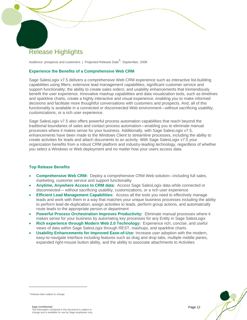## Release Highlights

 $\overline{a}$ 

Audience: prospects and customers | Projected Release Date**[1](#page-11-0)** : September, 2008

### **Experience the Benefits of a Comprehensive Web CRM**

Sage SalesLogix v7.5 delivers a comprehensive Web CRM experience such as interactive list-building capabilities using filters; extensive lead management capabilities; significant customer service and support functionality; the ability to create sales orders; and usability enhancements that tremendously benefit the user experience. Innovative mashup capabilities and data visualization tools, such as timelines and sparkline charts, create a highly interactive and visual experience, enabling you to make informed decisions and facilitate more thoughtful conversations with customers and prospects. And, all of this functionality is available in a connected or disconnected Web environment—without sacrificing usability, customizations, or a rich user experience.

Sage SalesLogix v7.5 also offers powerful process automation capabilities that reach beyond the traditional boundaries of sales and contact process automation—enabling you to eliminate manual processes where it makes sense for your business. Additionally, with Sage SalesLogix v7.5, enhancements have been made to the Windows Client to streamline processes, including the ability to create activities for leads and attach documents to an activity. With Sage SalesLogix v7.5 your organization benefits from a robust CRM platform and industry-leading technology, regardless of whether you select a Windows or Web deployment and no matter how your users access data.

### **Top Release Benefits**

- **Comprehensive Web CRM:** Deploy a comprehensive CRM Web solution—including full sales, marketing, customer service and support functionality
- **Anytime, Anywhere Access to CRM data:** Access Sage SalesLogix data while connected or disconnected— without sacrificing usability, customizations, or a rich user experience
- **Efficient Lead Management Capabilities:** Access all the tools you need to effectively manage leads and work with them in a way that matches your unique business processes including the ability to perform lead de-duplication; assign activities to leads, perform group actions, and automatically route leads to the appropriate person or department
- **Powerful Process Orchestration Improves Productivity:** Eliminate manual processes where it makes sense for your business by automating key processes for any Entity in Sage SalesLogix
- **Rich experience through Modern Web 2.0 Technology:** Experience rich, concise, and useful views of data within Sage SalesLogix through REST, mashups, and sparkline charts
- **Usability Enhancements for Improved Ease-of-Use:** Increase user adoption with the modern, easy-to-navigate interface including features such as drag and drop tabs, multiple middle panes, expanded right-mouse button ability, and the ability to associate attachments to Activities



<span id="page-11-0"></span><sup>&</sup>lt;sup>1</sup> Release date subject to change.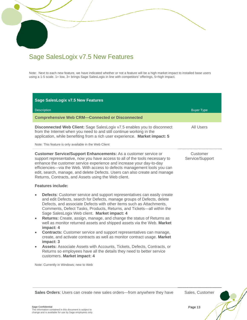## Sage SalesLogix v7.5 New Features

 $\overline{a}$ 

Note: Next to each new feature, we have indicated whether or not a feature will be a high market impact to installed base users using a 1-5 scale. 1= low, 3= brings Sage SalesLogix in line with competitors' offerings, 5=high impact.

| <b>Sage SalesLogix v7.5 New Features</b>                                                                                                                                                                                                                                                                                                                                                                                                                                                                                                                                                                                                                                                                     |                             |
|--------------------------------------------------------------------------------------------------------------------------------------------------------------------------------------------------------------------------------------------------------------------------------------------------------------------------------------------------------------------------------------------------------------------------------------------------------------------------------------------------------------------------------------------------------------------------------------------------------------------------------------------------------------------------------------------------------------|-----------------------------|
| <b>Description</b>                                                                                                                                                                                                                                                                                                                                                                                                                                                                                                                                                                                                                                                                                           | <b>Buyer Type</b>           |
| <b>Comprehensive Web CRM-Connected or Disconnected</b>                                                                                                                                                                                                                                                                                                                                                                                                                                                                                                                                                                                                                                                       |                             |
| Disconnected Web Client: Sage SalesLogix v7.5 enables you to disconnect<br>from the Internet when you need to and still continue working in the<br>application, while benefiting from a rich user experience. Market impact: 5<br>Note: This feature is only available in the Web Client                                                                                                                                                                                                                                                                                                                                                                                                                     | All Users                   |
| <b>Customer Service/Support Enhancements:</b> As a customer service or<br>support representative, now you have access to all of the tools necessary to<br>enhance the customer service experience and increase your day-to-day<br>efficiencies-via the Web. With access to defects management tools you can<br>edit, search, manage, and delete Defects. Users can also create and manage<br>Returns, Contracts, and Assets using the Web client.                                                                                                                                                                                                                                                            | Customer<br>Service/Support |
| <b>Features include:</b>                                                                                                                                                                                                                                                                                                                                                                                                                                                                                                                                                                                                                                                                                     |                             |
| <b>Defects:</b> Customer service and support representatives can easily create<br>and edit Defects, search for Defects, manage groups of Defects, delete<br>Defects, and associate Defects with other items such as Attachments,<br>Comments, Defect Tasks, Products, Returns, and Tickets—all within the<br>Sage SalesLogix Web client. Market impact: 4<br>Returns: Create, assign, manage, and change the status of Returns as<br>$\bullet$<br>well as monitor returned assets and shipped assets via the Web. Market<br>impact: 4<br><b>Contracts:</b> Customer service and support representatives can manage,<br>create, and activate contracts as well as monitor contract usage. Market<br>impact: 3 |                             |
| Assets: Associate Assets with Accounts, Tickets, Defects, Contracts, or<br>Returns so employees have all the details they need to better service<br>customers. Market impact: 4                                                                                                                                                                                                                                                                                                                                                                                                                                                                                                                              |                             |
| Note: Currently in Windows; new to Web                                                                                                                                                                                                                                                                                                                                                                                                                                                                                                                                                                                                                                                                       |                             |

**Sales Orders**: Users can create new sales orders—from anywhere they have Sales, Customer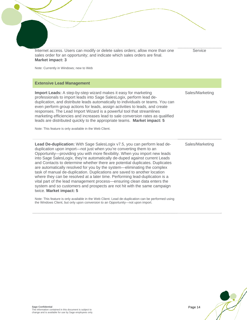| Internet access. Users can modify or delete sales orders; allow more than one<br>sales order for an opportunity; and indicate which sales orders are final.<br><b>Market impact: 3</b><br>Note: Currently in Windows; new to Web                                                                                                                                                                                                                                                                                                                                                                                                                                                                                                                                                                                       | Service         |
|------------------------------------------------------------------------------------------------------------------------------------------------------------------------------------------------------------------------------------------------------------------------------------------------------------------------------------------------------------------------------------------------------------------------------------------------------------------------------------------------------------------------------------------------------------------------------------------------------------------------------------------------------------------------------------------------------------------------------------------------------------------------------------------------------------------------|-----------------|
| <b>Extensive Lead Management</b>                                                                                                                                                                                                                                                                                                                                                                                                                                                                                                                                                                                                                                                                                                                                                                                       |                 |
| Import Leads: A step-by-step wizard makes it easy for marketing<br>professionals to import leads into Sage SalesLogix, perform lead de-<br>duplication, and distribute leads automatically to individuals or teams. You can<br>even perform group actions for leads, assign activities to leads, and create<br>responses. The Lead Import Wizard is a powerful tool that streamlines<br>marketing efficiencies and increases lead to sale conversion rates as qualified<br>leads are distributed quickly to the appropriate teams. Market impact: 5<br>Note: This feature is only available in the Web Client.                                                                                                                                                                                                         | Sales/Marketing |
| Lead De-duplication: With Sage SalesLogix v7.5, you can perform lead de-<br>duplication upon import-not just when you're converting them to an<br>Opportunity-providing you with more flexibility. When you import new leads<br>into Sage SalesLogix, they're automatically de-duped against current Leads<br>and Contacts to determine whether there are potential duplicates. Duplicates<br>are automatically resolved for you by the system-eliminating the complex<br>task of manual de-duplication. Duplications are saved to another location<br>where they can be resolved at a later time. Performing lead-duplication is a<br>vital part of the lead management process-ensuring clean data enters the<br>system and so customers and prospects are not hit with the same campaign<br>twice. Market impact: 5 | Sales/Marketing |
| Note: This feature is only available in the Web Client. Lead de-duplication can be performed using<br>the Windows Client, but only upon conversion to an Opportunity—not upon import.                                                                                                                                                                                                                                                                                                                                                                                                                                                                                                                                                                                                                                  |                 |



ノ

7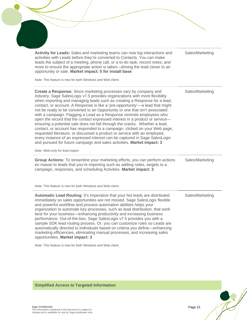| Activity for Leads: Sales and marketing teams can now log interactions and<br>activities with Leads before they're converted to Contacts. You can make<br>leads the subject of a meeting, phone call, or a to-do task; record notes; and<br>more to ensure the appropriate action is taken-driving the lead closer to an<br>opportunity or sale. Market impact: 5 for install base                                                                                                                                                                                                                                                                                                                                                                                                                                                                                                                                                                     | Sales/Marketing |
|--------------------------------------------------------------------------------------------------------------------------------------------------------------------------------------------------------------------------------------------------------------------------------------------------------------------------------------------------------------------------------------------------------------------------------------------------------------------------------------------------------------------------------------------------------------------------------------------------------------------------------------------------------------------------------------------------------------------------------------------------------------------------------------------------------------------------------------------------------------------------------------------------------------------------------------------------------|-----------------|
| Note: This feature is new for both Windows and Web client.                                                                                                                                                                                                                                                                                                                                                                                                                                                                                                                                                                                                                                                                                                                                                                                                                                                                                             |                 |
| Create a Response: Since marketing processes vary by company and<br>industry, Sage SalesLogix v7.5 provides organizations with more flexibility<br>when importing and managing leads such as creating a Response for a lead,<br>contact, or account. A Response is like a 'pre-opportunity'—a lead that might<br>not be ready to be converted to an Opportunity or one that isn't associated<br>with a campaign. Flagging a Lead as a Response reminds employees who<br>open the record that the contact expressed interest in a product or service-<br>ensuring a potential sale does not fall through the cracks. Whether a lead,<br>contact, or account has responded to a campaign, clicked on your Web page,<br>requested literature, or discussed a product or service with an employee,<br>every instance of an expressed interest can be captured in Sage SalesLogix<br>and pursued for future campaign and sales activities. Market impact: 3 | Sales/Marketing |
| Note: Web-only for lead import.                                                                                                                                                                                                                                                                                                                                                                                                                                                                                                                                                                                                                                                                                                                                                                                                                                                                                                                        |                 |
| Group Actions: To streamline your marketing efforts, you can perform actions<br>en masse to leads that you're importing such as adding notes, targets to a<br>campaign, responses, and scheduling Activities. Market impact: 3                                                                                                                                                                                                                                                                                                                                                                                                                                                                                                                                                                                                                                                                                                                         | Sales/Marketing |
| Note: This feature is new for both Windows and Web client.                                                                                                                                                                                                                                                                                                                                                                                                                                                                                                                                                                                                                                                                                                                                                                                                                                                                                             |                 |
| Automatic Lead Routing: It's imperative that your hot leads are distributed<br>immediately so sales opportunities are not missed. Sage SalesLogix flexible<br>and powerful workflow and process automation abilities helps your<br>organization to automate key processes, such as lead distribution, that work<br>best for your business-enhancing productivity and increasing business<br>performance. Out-of-the-box, Sage SalesLogix v7.5 provides you with a<br>sample SDK lead routing process. Or, you can customize rules so Leads are<br>automatically directed to individuals based on criteria you define-enhancing<br>marketing efficiencies, eliminating manual processes, and increasing sales<br>opportunities. Market impact: 3                                                                                                                                                                                                        | Sales/Marketing |
|                                                                                                                                                                                                                                                                                                                                                                                                                                                                                                                                                                                                                                                                                                                                                                                                                                                                                                                                                        |                 |

Note: This feature is new for both Windows and Web client.

**Simplified Access to Targeted Information** 

 $\bullet$ 

V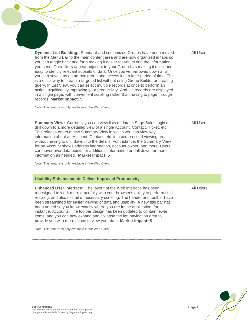**Dynamic List Building:** Standard and customized Groups have been moved from the Menu Bar to the main content area and are now organized in tabs so you can toggle back and forth making it easier for you to find the information you need. Data filters appear adjacent to your Group lists making it quick and easy to identify relevant subsets of data. Once you've narrowed down a list, you can save it as an ad-hoc group and access it at a later period of time. This is a quick way to create a targeted list without using Group Builder or creating query. In List View, you can select multiple records at once to perform an action, significantly improving your productivity. And, all records are displayed in a single page, with convenient scrolling rather than having to page through records. **Market impact: 5** 

Note: This feature is only available in the Web Client.

 $\overline{a}$ 

**Summary View:** Currently you can view lists of data in Sage SalesLogix or drill down to a more detailed view of a single Account, Contact, Ticket, etc. This release offers a new Summary View in which you can view key information about an Account, Contact, etc. in a compressed viewing area without having to drill down into the details. For instance, the Summary View for an Account shows address information, account owner, and more. Users can hover over data points for additional information or drill down for more information as needed. **Market impact: 5** 

Note: This feature is only available in the Web Client.

#### **Usability Enhancements Deliver Improved Productivity**

**Enhanced User Interface:** The layout of the Web interface has been redesigned to work more gracefully with your browser's ability to perform fluid resizing, and also to limit unnecessary scrolling. The header and toolbar have been streamlined for easier viewing of data and usability. A new title bar has been added so you know exactly where you are in the application, for instance, Accounts. The toolbar design has been updated to contain fewer items, and you can now expand and collapse the left navigation area to provide you with more space to view your data. **Market impact: 5** 

Note: This feature is only available in the Web Client

All Users

All Users

All Users

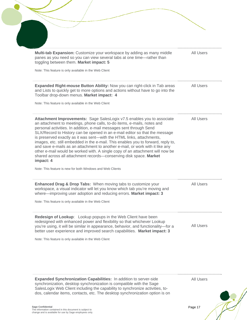| <b>All Users</b><br><b>All Users</b><br><b>All Users</b> |
|----------------------------------------------------------|
|                                                          |
|                                                          |
|                                                          |
|                                                          |
|                                                          |
|                                                          |
| <b>All Users</b>                                         |
| <b>All Users</b>                                         |
|                                                          |

synchronization, desktop synchronization is compatible with the Sage SalesLogix Web Client including the capability to synchronize activities, todos, calendar items, contacts, etc. The desktop synchronization option is on

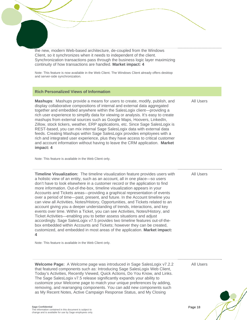the new, modern Web-based architecture, de-coupled from the Windows Client, so it synchronizes when it needs to independent of the client. Synchronization transactions pass through the business logic layer maximizing continuity of how transactions are handled. **Market impact: 4** 

Note: This feature is now available in the Web Client. The Windows Client already offers desktop and server-side synchronization.

#### **Rich Personalized Views of Information**

 $\overline{a}$ 

**Mashups**: Mashups provide a means for users to create, modify, publish, and display collaborative compositions of internal and external data aggregated together and embedded anywhere within the SalesLogix client—providing a rich user experience to simplify data for viewing or analysis. It's easy to create mashups from external sources such as Google Maps, Hoovers, LinkedIn, Zillow, stock tickers, weather, ERP applications, etc. Since Sage SalesLogix is REST-based, you can mix internal Sage SalesLogix data with external data feeds. Creating Mashups within Sage SalesLogix provides employees with a rich and integrated user experience, plus they have access to critical customer and account information without having to leave the CRM application. **Market impact: 4** 

Note: This feature is available in the Web Client only.

**Timeline Visualization:** The timeline visualization feature provides users with a holistic view of an entity, such as an account, all in one place—so users don't have to look elsewhere in a customer record or the application to find more information. Out-of-the-box, timeline visualization appears in your Accounts and Tickets areas—providing a graphical representation of events over a period of time—past, present, and future. In the Account timeline you can view all Activities, Notes/History, Opportunities, and Tickets related to an account giving you a deeper understanding of trends, interactions, and key events over time. Within a Ticket, you can see Activities, Notes/History, and Ticket Activities—enabling you to better assess situations and adjust accordingly. Sage SalesLogix v7.5 provides two timeline features out-of-thebox embedded within Accounts and Tickets; however they can be created, customized, and embedded in most areas of the application. **Market impact: 4** 

Note: This feature is available in the Web Client only.

**Welcome Page:** A Welcome page was introduced in Sage SalesLogix v7.2.2 that featured components such as: Introducing Sage SalesLogix Web Client, Today's Activities, Recently Viewed, Quick Actions, Do You Know, and Links. The Sage SalesLogix v7.5 release significantly expands your ability to customize your Welcome page to match your unique preferences by adding, removing, and rearranging components. You can add new components such as My Recent Notes, Active Campaign Response Status, and My Closing

All Users

All Users

All Users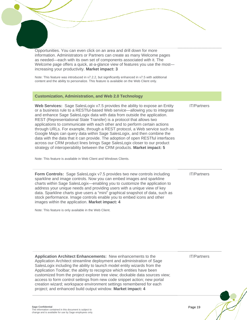Opportunities. You can even click on an area and drill down for more information. Administrators or Partners can create as many Welcome pages as needed—each with its own set of components associated with it. The Welcome page offers a quick, at-a-glance view of features you use the most increasing your productivity. **Market impact: 3** 

Note: This feature was introduced in v7.2.2, but significantly enhanced in v7.5 with additional content and the ability to personalize. This feature is available on the Web Client only.

#### **Customization, Administration, and Web 2.0 Technology**

 $\overline{a}$ 

**Web Services:** Sage SalesLogix v7.5 provides the ability to expose an Entity or a business rule to a RESTful-based Web service—allowing you to integrate and enhance Sage SalesLogix data with data from outside the application. REST (Representational State Transfer) is a protocol that allows two applications to communicate with each other and to perform certain actions through URLs. For example, through a REST protocol, a Web service such as Google Maps can query data within Sage SalesLogix, and then combine the data with the data that it can provide. The adoption of open RESTful interfaces across our CRM product lines brings Sage SalesLogix closer to our product strategy of interoperability between the CRM products. **Market impact: 5** 

Note: This feature is available in Web Client and Windows Clients.

**Form Controls:** Sage SalesLogix v7.5 provides two new controls including sparkline and image controls. Now you can embed images and sparkline charts within Sage SalesLogix—enabling you to customize the application to address your unique needs and providing users with a unique view of key data. Sparkline charts give users a "mini" graphical snapshot of data, such as stock performance. Image controls enable you to embed icons and other images within the application. **Market impact: 4** 

Note: This feature is only available in the Web Client.

**Application Architect Enhancements:** New enhancements to the Application Architect streamline deployment and administration of Sage SalesLogix including the ability to launch model entity wizards from the Application Toolbar; the ability to recognize which entities have been customized from the project explorer tree view; dockable data sources view; access to form control settings from new code snippet action; new portal creation wizard; workspace environment settings remembered for each project; and enhanced build output window. **Market impact: 4** 

IT/Partners

IT/Partners

IT/Partners

**Sage Confidential**  The information contained in this document is subject to change and is available for use by Sage employees only.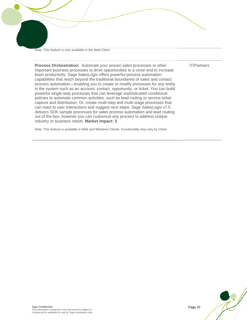Note: This feature is only available in the Web Client

 $\overline{a}$ 

IT/Partners

**Process Orchestration:** Automate your proven sales processes or other important business processes to drive opportunities to a close and to increase team productivity. Sage SalesLogix offers powerful process automation capabilities that reach beyond the traditional boundaries of sales and contact process automation—enabling you to create or modify processes for any entity in the system such as an account, contact, opportunity, or ticket. You can build powerful single-step processes that can leverage sophisticated conditional policies to automate common activities, such as lead routing or service ticket capture and distribution. Or, create multi-step and multi-stage processes that can react to user interactions and suggest next steps. Sage SalesLogix v7.5 delivers SDK sample processes for sales process automation and lead routing out of the box; however you can customize any process to address unique industry or business needs. **Market impact: 3** 

Note: This feature is available in Web and Windows Clients. Functionality may vary by Client.